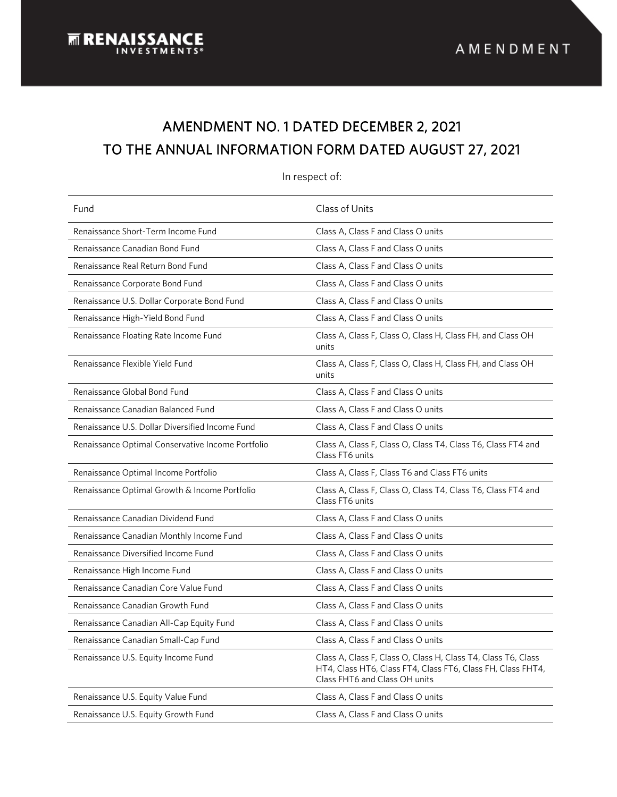# AMENDMENT NO. 1 DATED DECEMBER 2, 2021 TO THE ANNUAL INFORMATION FORM DATED AUGUST 27, 2021

l

Fund **Class of Units** Renaissance Short-Term Income Fund Class A, Class A, Class F and Class O units Renaissance Canadian Bond Fund Class A, Class A, Class F and Class O units Renaissance Real Return Bond Fund Class A, Class A, Class F and Class O units Renaissance Corporate Bond Fund Class A, Class A, Class F and Class O units Renaissance U.S. Dollar Corporate Bond Fund Class A, Class A, Class F and Class O units Renaissance High-Yield Bond Fund Class A, Class A, Class F and Class O units Renaissance Floating Rate Income Fund Class Communic Class A, Class F, Class O, Class H, Class FH, and Class OH units Renaissance Flexible Yield Fund Class Communiculary Class A, Class F, Class O, Class H, Class FH, and Class OH units Renaissance Global Bond Fund Class A, Class F and Class O units Renaissance Canadian Balanced Fund Class A, Class F and Class O units Renaissance U.S. Dollar Diversified Income Fund Class A, Class F and Class O units Renaissance Optimal Conservative Income Portfolio Class A, Class F, Class O, Class T4, Class T6, Class FT4 and Class FT6 units Renaissance Optimal Income Portfolio Class A, Class F, Class T6 and Class FT6 units Renaissance Optimal Growth & Income Portfolio Class A, Class F, Class O, Class T4, Class T6, Class FT4 and Class FT6 units Renaissance Canadian Dividend Fund Class A, Class F and Class O units Renaissance Canadian Monthly Income Fund Class A, Class F and Class O units Renaissance Diversified Income Fund Class A, Class F and Class O units Renaissance High Income Fund **Class A**, Class F and Class O units Renaissance Canadian Core Value Fund Class A, Class F and Class O units Renaissance Canadian Growth Fund Class A, Class A, Class F and Class O units Renaissance Canadian All-Cap Equity Fund Class A, Class A, Class F and Class O units Renaissance Canadian Small-Cap Fund Class A, Class A, Class F and Class O units Renaissance U.S. Equity Income Fund Class A, Class F, Class O, Class H, Class T4, Class T6, Class HT4, Class HT6, Class FT4, Class FT6, Class FH, Class FHT4, Class FHT6 and Class OH units Renaissance U.S. Equity Value Fund Class A, Class A, Class F and Class O units Renaissance U.S. Equity Growth Fund Class A, Class A, Class F and Class O units

In respect of: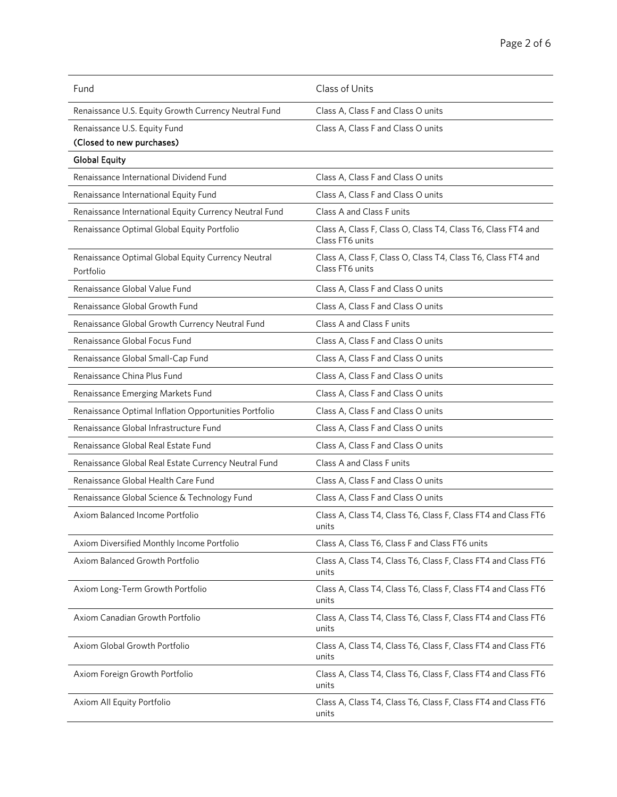| Fund                                                            | Class of Units                                                                  |
|-----------------------------------------------------------------|---------------------------------------------------------------------------------|
| Renaissance U.S. Equity Growth Currency Neutral Fund            | Class A, Class F and Class O units                                              |
| Renaissance U.S. Equity Fund                                    | Class A, Class F and Class O units                                              |
| (Closed to new purchases)                                       |                                                                                 |
| <b>Global Equity</b>                                            |                                                                                 |
| Renaissance International Dividend Fund                         | Class A, Class F and Class O units                                              |
| Renaissance International Equity Fund                           | Class A, Class F and Class O units                                              |
| Renaissance International Equity Currency Neutral Fund          | Class A and Class F units                                                       |
| Renaissance Optimal Global Equity Portfolio                     | Class A, Class F, Class O, Class T4, Class T6, Class FT4 and<br>Class FT6 units |
| Renaissance Optimal Global Equity Currency Neutral<br>Portfolio | Class A, Class F, Class O, Class T4, Class T6, Class FT4 and<br>Class FT6 units |
| Renaissance Global Value Fund                                   | Class A, Class F and Class O units                                              |
| Renaissance Global Growth Fund                                  | Class A, Class F and Class O units                                              |
| Renaissance Global Growth Currency Neutral Fund                 | Class A and Class F units                                                       |
| Renaissance Global Focus Fund                                   | Class A, Class F and Class O units                                              |
| Renaissance Global Small-Cap Fund                               | Class A, Class F and Class O units                                              |
| Renaissance China Plus Fund                                     | Class A, Class F and Class O units                                              |
| Renaissance Emerging Markets Fund                               | Class A, Class F and Class O units                                              |
| Renaissance Optimal Inflation Opportunities Portfolio           | Class A, Class F and Class O units                                              |
| Renaissance Global Infrastructure Fund                          | Class A, Class F and Class O units                                              |
| Renaissance Global Real Estate Fund                             | Class A, Class F and Class O units                                              |
| Renaissance Global Real Estate Currency Neutral Fund            | Class A and Class F units                                                       |
| Renaissance Global Health Care Fund                             | Class A, Class F and Class O units                                              |
| Renaissance Global Science & Technology Fund                    | Class A, Class F and Class O units                                              |
| Axiom Balanced Income Portfolio                                 | Class A, Class T4, Class T6, Class F, Class FT4 and Class FT6<br>units          |
| Axiom Diversified Monthly Income Portfolio                      | Class A, Class T6, Class F and Class FT6 units                                  |
| Axiom Balanced Growth Portfolio                                 | Class A, Class T4, Class T6, Class F, Class FT4 and Class FT6<br>units          |
| Axiom Long-Term Growth Portfolio                                | Class A, Class T4, Class T6, Class F, Class FT4 and Class FT6<br>units          |
| Axiom Canadian Growth Portfolio                                 | Class A, Class T4, Class T6, Class F, Class FT4 and Class FT6<br>units          |
| Axiom Global Growth Portfolio                                   | Class A, Class T4, Class T6, Class F, Class FT4 and Class FT6<br>units          |
| Axiom Foreign Growth Portfolio                                  | Class A, Class T4, Class T6, Class F, Class FT4 and Class FT6<br>units          |
| Axiom All Equity Portfolio                                      | Class A, Class T4, Class T6, Class F, Class FT4 and Class FT6<br>units          |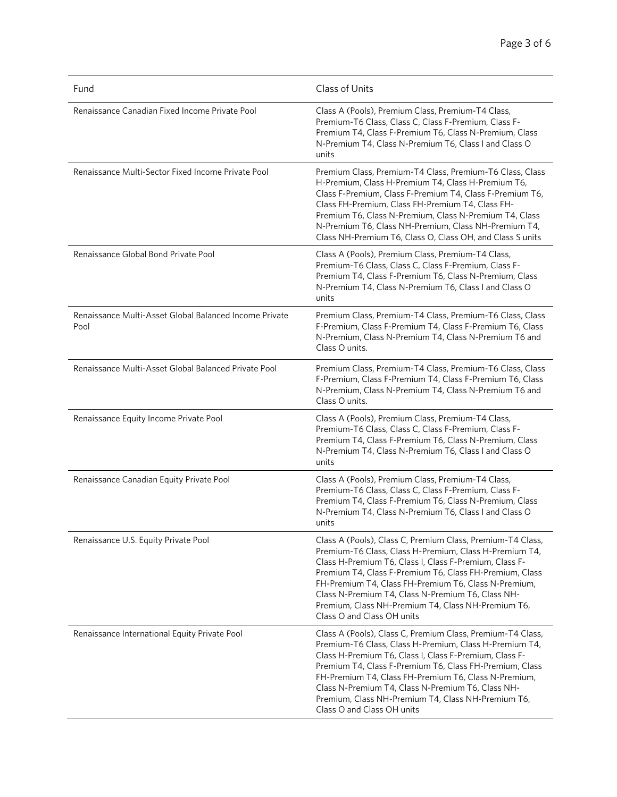| Fund                                                           | Class of Units                                                                                                                                                                                                                                                                                                                                                                                                                             |
|----------------------------------------------------------------|--------------------------------------------------------------------------------------------------------------------------------------------------------------------------------------------------------------------------------------------------------------------------------------------------------------------------------------------------------------------------------------------------------------------------------------------|
| Renaissance Canadian Fixed Income Private Pool                 | Class A (Pools), Premium Class, Premium-T4 Class,<br>Premium-T6 Class, Class C, Class F-Premium, Class F-<br>Premium T4, Class F-Premium T6, Class N-Premium, Class<br>N-Premium T4, Class N-Premium T6, Class I and Class O<br>units                                                                                                                                                                                                      |
| Renaissance Multi-Sector Fixed Income Private Pool             | Premium Class, Premium-T4 Class, Premium-T6 Class, Class<br>H-Premium, Class H-Premium T4, Class H-Premium T6,<br>Class F-Premium, Class F-Premium T4, Class F-Premium T6,<br>Class FH-Premium, Class FH-Premium T4, Class FH-<br>Premium T6, Class N-Premium, Class N-Premium T4, Class<br>N-Premium T6, Class NH-Premium, Class NH-Premium T4,<br>Class NH-Premium T6, Class O, Class OH, and Class S units                              |
| Renaissance Global Bond Private Pool                           | Class A (Pools), Premium Class, Premium-T4 Class,<br>Premium-T6 Class, Class C, Class F-Premium, Class F-<br>Premium T4, Class F-Premium T6, Class N-Premium, Class<br>N-Premium T4, Class N-Premium T6, Class I and Class O<br>units                                                                                                                                                                                                      |
| Renaissance Multi-Asset Global Balanced Income Private<br>Pool | Premium Class, Premium-T4 Class, Premium-T6 Class, Class<br>F-Premium, Class F-Premium T4, Class F-Premium T6, Class<br>N-Premium, Class N-Premium T4, Class N-Premium T6 and<br>Class O units.                                                                                                                                                                                                                                            |
| Renaissance Multi-Asset Global Balanced Private Pool           | Premium Class, Premium-T4 Class, Premium-T6 Class, Class<br>F-Premium, Class F-Premium T4, Class F-Premium T6, Class<br>N-Premium, Class N-Premium T4, Class N-Premium T6 and<br>Class O units.                                                                                                                                                                                                                                            |
| Renaissance Equity Income Private Pool                         | Class A (Pools), Premium Class, Premium-T4 Class,<br>Premium-T6 Class, Class C, Class F-Premium, Class F-<br>Premium T4, Class F-Premium T6, Class N-Premium, Class<br>N-Premium T4, Class N-Premium T6, Class I and Class O<br>units                                                                                                                                                                                                      |
| Renaissance Canadian Equity Private Pool                       | Class A (Pools), Premium Class, Premium-T4 Class,<br>Premium-T6 Class, Class C, Class F-Premium, Class F-<br>Premium T4, Class F-Premium T6, Class N-Premium, Class<br>N-Premium T4, Class N-Premium T6, Class I and Class O<br>units                                                                                                                                                                                                      |
| Renaissance U.S. Equity Private Pool                           | Class A (Pools), Class C, Premium Class, Premium-T4 Class,<br>Premium-T6 Class, Class H-Premium, Class H-Premium T4,<br>Class H-Premium T6, Class I, Class F-Premium, Class F-<br>Premium T4, Class F-Premium T6, Class FH-Premium, Class<br>FH-Premium T4, Class FH-Premium T6, Class N-Premium,<br>Class N-Premium T4, Class N-Premium T6, Class NH-<br>Premium, Class NH-Premium T4, Class NH-Premium T6,<br>Class O and Class OH units |
| Renaissance International Equity Private Pool                  | Class A (Pools), Class C, Premium Class, Premium-T4 Class,<br>Premium-T6 Class, Class H-Premium, Class H-Premium T4,<br>Class H-Premium T6, Class I, Class F-Premium, Class F-<br>Premium T4, Class F-Premium T6, Class FH-Premium, Class<br>FH-Premium T4, Class FH-Premium T6, Class N-Premium,<br>Class N-Premium T4, Class N-Premium T6, Class NH-<br>Premium, Class NH-Premium T4, Class NH-Premium T6,<br>Class O and Class OH units |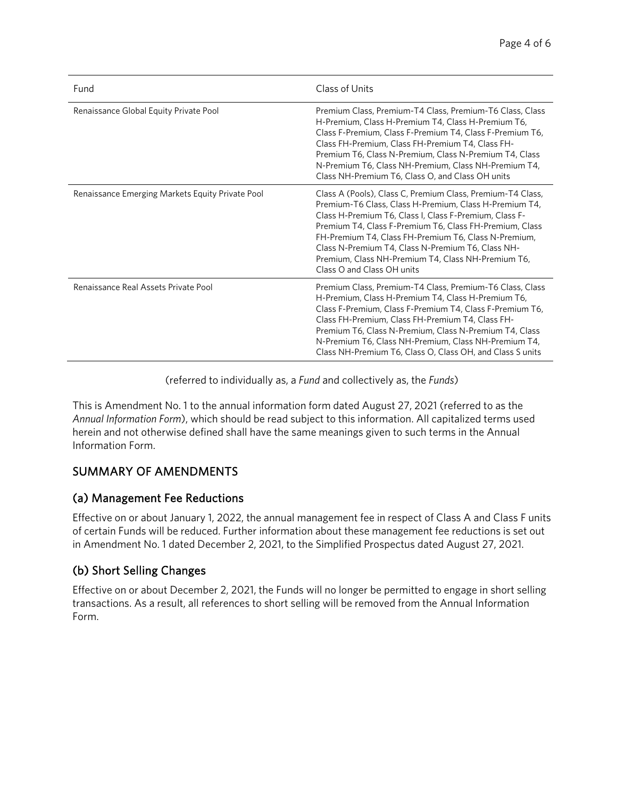| Fund                                             | Class of Units                                                                                                                                                                                                                                                                                                                                                                                                                             |
|--------------------------------------------------|--------------------------------------------------------------------------------------------------------------------------------------------------------------------------------------------------------------------------------------------------------------------------------------------------------------------------------------------------------------------------------------------------------------------------------------------|
| Renaissance Global Equity Private Pool           | Premium Class, Premium-T4 Class, Premium-T6 Class, Class<br>H-Premium, Class H-Premium T4, Class H-Premium T6,<br>Class F-Premium, Class F-Premium T4, Class F-Premium T6,<br>Class FH-Premium, Class FH-Premium T4, Class FH-<br>Premium T6, Class N-Premium, Class N-Premium T4, Class<br>N-Premium T6, Class NH-Premium, Class NH-Premium T4,<br>Class NH-Premium T6, Class O, and Class OH units                                       |
| Renaissance Emerging Markets Equity Private Pool | Class A (Pools), Class C, Premium Class, Premium-T4 Class,<br>Premium-T6 Class, Class H-Premium, Class H-Premium T4,<br>Class H-Premium T6, Class I, Class F-Premium, Class F-<br>Premium T4, Class F-Premium T6, Class FH-Premium, Class<br>FH-Premium T4, Class FH-Premium T6, Class N-Premium,<br>Class N-Premium T4, Class N-Premium T6, Class NH-<br>Premium, Class NH-Premium T4, Class NH-Premium T6,<br>Class O and Class OH units |
| Renaissance Real Assets Private Pool             | Premium Class, Premium-T4 Class, Premium-T6 Class, Class<br>H-Premium, Class H-Premium T4, Class H-Premium T6,<br>Class F-Premium, Class F-Premium T4, Class F-Premium T6,<br>Class FH-Premium, Class FH-Premium T4, Class FH-<br>Premium T6, Class N-Premium, Class N-Premium T4, Class<br>N-Premium T6, Class NH-Premium, Class NH-Premium T4,<br>Class NH-Premium T6, Class O, Class OH, and Class S units                              |

(referred to individually as, a *Fund* and collectively as, the *Funds*)

This is Amendment No. 1 to the annual information form dated August 27, 2021 (referred to as the *Annual Information Form*), which should be read subject to this information. All capitalized terms used herein and not otherwise defined shall have the same meanings given to such terms in the Annual Information Form.

### SUMMARY OF AMENDMENTS

#### (a) Management Fee Reductions

Effective on or about January 1, 2022, the annual management fee in respect of Class A and Class F units of certain Funds will be reduced. Further information about these management fee reductions is set out in Amendment No. 1 dated December 2, 2021, to the Simplified Prospectus dated August 27, 2021.

### (b) Short Selling Changes

Effective on or about December 2, 2021, the Funds will no longer be permitted to engage in short selling transactions. As a result, all references to short selling will be removed from the Annual Information Form.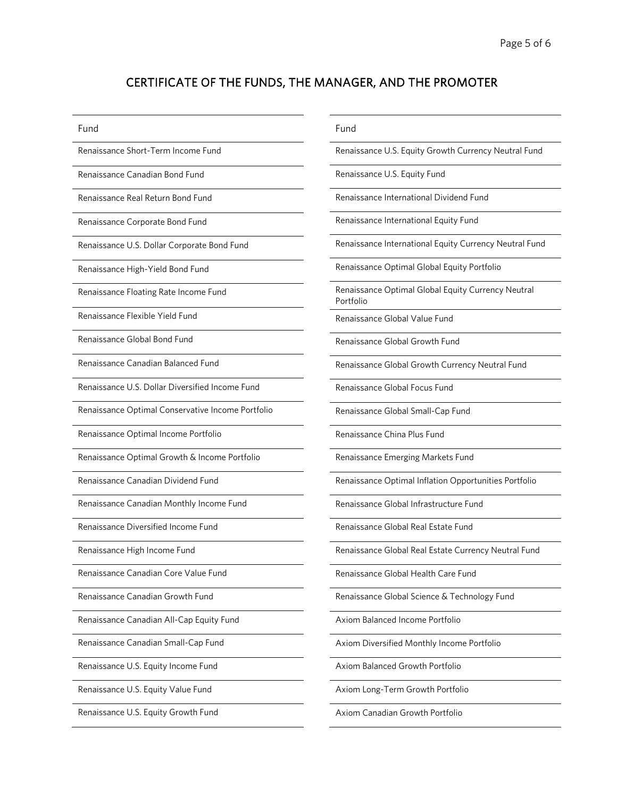## CERTIFICATE OF THE FUNDS, THE MANAGER, AND THE PROMOTER

| Fund                                              | Fund                                                            |
|---------------------------------------------------|-----------------------------------------------------------------|
| Renaissance Short-Term Income Fund                | Renaissance U.S. Equity Growth Currency Neutral Fund            |
| Renaissance Canadian Bond Fund                    | Renaissance U.S. Equity Fund                                    |
| Renaissance Real Return Bond Fund                 | Renaissance International Dividend Fund                         |
| Renaissance Corporate Bond Fund                   | Renaissance International Equity Fund                           |
| Renaissance U.S. Dollar Corporate Bond Fund       | Renaissance International Equity Currency Neutral Fund          |
| Renaissance High-Yield Bond Fund                  | Renaissance Optimal Global Equity Portfolio                     |
| Renaissance Floating Rate Income Fund             | Renaissance Optimal Global Equity Currency Neutral<br>Portfolio |
| Renaissance Flexible Yield Fund                   | Renaissance Global Value Fund                                   |
| Renaissance Global Bond Fund                      | Renaissance Global Growth Fund                                  |
| Renaissance Canadian Balanced Fund                | Renaissance Global Growth Currency Neutral Fund                 |
| Renaissance U.S. Dollar Diversified Income Fund   | Renaissance Global Focus Fund                                   |
| Renaissance Optimal Conservative Income Portfolio | Renaissance Global Small-Cap Fund                               |
| Renaissance Optimal Income Portfolio              | Renaissance China Plus Fund                                     |
| Renaissance Optimal Growth & Income Portfolio     | Renaissance Emerging Markets Fund                               |
| Renaissance Canadian Dividend Fund                | Renaissance Optimal Inflation Opportunities Portfolio           |
| Renaissance Canadian Monthly Income Fund          | Renaissance Global Infrastructure Fund                          |
| Renaissance Diversified Income Fund               | Renaissance Global Real Estate Fund                             |
| Renaissance High Income Fund                      | Renaissance Global Real Estate Currency Neutral Fund            |
| Renaissance Canadian Core Value Fund              | Renaissance Global Health Care Fund                             |
| Renaissance Canadian Growth Fund                  | Renaissance Global Science & Technology Fund                    |
| Renaissance Canadian All-Cap Equity Fund          | Axiom Balanced Income Portfolio                                 |
| Renaissance Canadian Small-Cap Fund               | Axiom Diversified Monthly Income Portfolio                      |
| Renaissance U.S. Equity Income Fund               | Axiom Balanced Growth Portfolio                                 |
| Renaissance U.S. Equity Value Fund                | Axiom Long-Term Growth Portfolio                                |
| Renaissance U.S. Equity Growth Fund               | Axiom Canadian Growth Portfolio                                 |